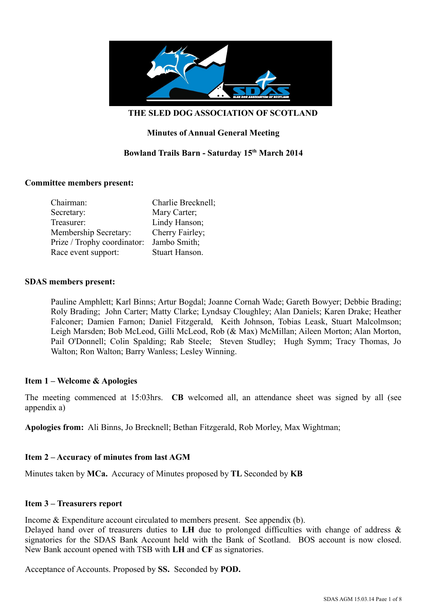

### **Minutes of Annual General Meeting**

### **Bowland Trails Barn - Saturday 15th March 2014**

#### **Committee members present:**

| Chairman:                    | Charlie Brecknell; |
|------------------------------|--------------------|
| Secretary:                   | Mary Carter;       |
| Treasurer:                   | Lindy Hanson;      |
| <b>Membership Secretary:</b> | Cherry Fairley;    |
| Prize / Trophy coordinator:  | Jambo Smith;       |
| Race event support:          | Stuart Hanson.     |

#### **SDAS members present:**

Pauline Amphlett; Karl Binns; Artur Bogdal; Joanne Cornah Wade; Gareth Bowyer; Debbie Brading; Roly Brading; John Carter; Matty Clarke; Lyndsay Cloughley; Alan Daniels; Karen Drake; Heather Falconer; Damien Farnon; Daniel Fitzgerald, Keith Johnson, Tobias Leask, Stuart Malcolmson; Leigh Marsden; Bob McLeod, Gilli McLeod, Rob (& Max) McMillan; Aileen Morton; Alan Morton, Pail O'Donnell; Colin Spalding; Rab Steele; Steven Studley; Hugh Symm; Tracy Thomas, Jo Walton; Ron Walton; Barry Wanless; Lesley Winning.

#### **Item 1 – Welcome & Apologies**

The meeting commenced at 15:03hrs. **CB** welcomed all, an attendance sheet was signed by all (see appendix a)

**Apologies from:** Ali Binns, Jo Brecknell; Bethan Fitzgerald, Rob Morley, Max Wightman;

#### **Item 2 – Accuracy of minutes from last AGM**

Minutes taken by **MCa.** Accuracy of Minutes proposed by **TL** Seconded by **KB**

#### **Item 3 – Treasurers report**

Income & Expenditure account circulated to members present. See appendix (b).

Delayed hand over of treasurers duties to **LH** due to prolonged difficulties with change of address & signatories for the SDAS Bank Account held with the Bank of Scotland. BOS account is now closed. New Bank account opened with TSB with **LH** and **CF** as signatories.

Acceptance of Accounts. Proposed by **SS.** Seconded by **POD.**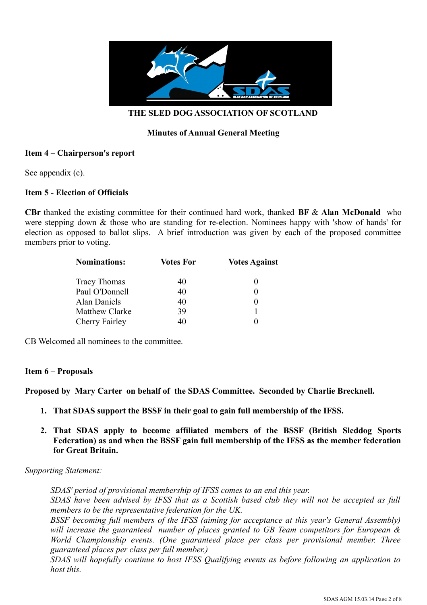

### **Minutes of Annual General Meeting**

### **Item 4 – Chairperson's report**

See appendix (c).

### **Item 5 - Election of Officials**

**CBr** thanked the existing committee for their continued hard work, thanked **BF** & **Alan McDonald** who were stepping down & those who are standing for re-election. Nominees happy with 'show of hands' for election as opposed to ballot slips. A brief introduction was given by each of the proposed committee members prior to voting.

| <b>Nominations:</b>   | <b>Votes For</b> | <b>Votes Against</b> |  |
|-----------------------|------------------|----------------------|--|
| <b>Tracy Thomas</b>   | 40               |                      |  |
| Paul O'Donnell        | 40               |                      |  |
| Alan Daniels          | 40               |                      |  |
| <b>Matthew Clarke</b> | 39               |                      |  |
| Cherry Fairley        | 40               |                      |  |

CB Welcomed all nominees to the committee.

#### **Item 6 – Proposals**

**Proposed by Mary Carter on behalf of the SDAS Committee. Seconded by Charlie Brecknell.**

- **1. That SDAS support the BSSF in their goal to gain full membership of the IFSS.**
- **2. That SDAS apply to become affiliated members of the BSSF (British Sleddog Sports Federation) as and when the BSSF gain full membership of the IFSS as the member federation for Great Britain.**

#### *Supporting Statement:*

*SDAS' period of provisional membership of IFSS comes to an end this year. SDAS have been advised by IFSS that as a Scottish based club they will not be accepted as full members to be the representative federation for the UK.*

*BSSF becoming full members of the IFSS (aiming for acceptance at this year's General Assembly) will increase the guaranteed number of places granted to GB Team competitors for European & World Championship events. (One guaranteed place per class per provisional member. Three guaranteed places per class per full member.)*

*SDAS will hopefully continue to host IFSS Qualifying events as before following an application to host this.*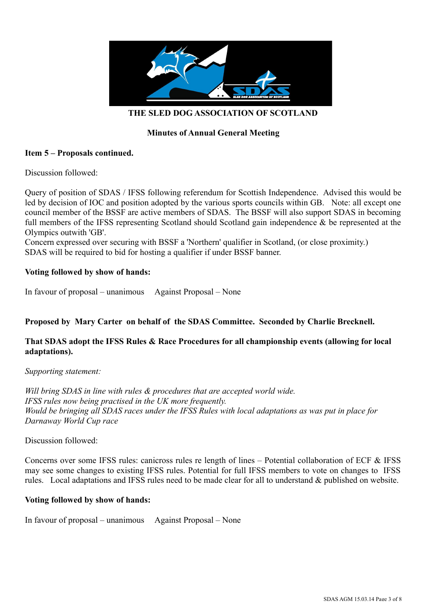

### **Minutes of Annual General Meeting**

### **Item 5 – Proposals continued.**

Discussion followed:

Query of position of SDAS / IFSS following referendum for Scottish Independence. Advised this would be led by decision of IOC and position adopted by the various sports councils within GB. Note: all except one council member of the BSSF are active members of SDAS. The BSSF will also support SDAS in becoming full members of the IFSS representing Scotland should Scotland gain independence & be represented at the Olympics outwith 'GB'.

Concern expressed over securing with BSSF a 'Northern' qualifier in Scotland, (or close proximity.) SDAS will be required to bid for hosting a qualifier if under BSSF banner.

### **Voting followed by show of hands:**

In favour of proposal – unanimous Against Proposal – None

### **Proposed by Mary Carter on behalf of the SDAS Committee. Seconded by Charlie Brecknell.**

### **That SDAS adopt the IFSS Rules & Race Procedures for all championship events (allowing for local adaptations).**

*Supporting statement:*

*Will bring SDAS in line with rules & procedures that are accepted world wide. IFSS rules now being practised in the UK more frequently. Would be bringing all SDAS races under the IFSS Rules with local adaptations as was put in place for Darnaway World Cup race*

Discussion followed:

Concerns over some IFSS rules: canicross rules re length of lines – Potential collaboration of ECF & IFSS may see some changes to existing IFSS rules. Potential for full IFSS members to vote on changes to IFSS rules. Local adaptations and IFSS rules need to be made clear for all to understand & published on website.

#### **Voting followed by show of hands:**

In favour of proposal – unanimous Against Proposal – None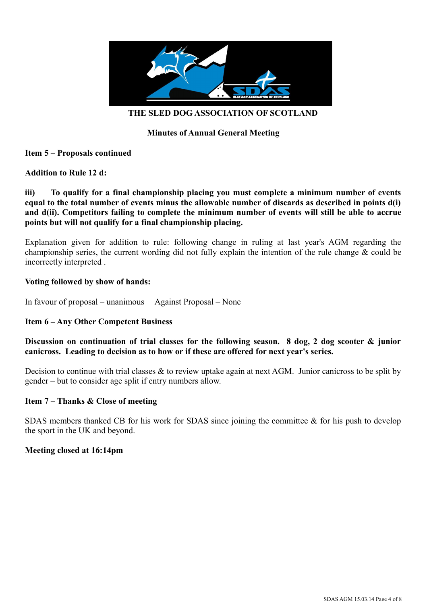

### **Minutes of Annual General Meeting**

### **Item 5 – Proposals continued**

#### **Addition to Rule 12 d:**

### **iii) To qualify for a final championship placing you must complete a minimum number of events equal to the total number of events minus the allowable number of discards as described in points d(i) and d(ii). Competitors failing to complete the minimum number of events will still be able to accrue points but will not qualify for a final championship placing.**

Explanation given for addition to rule: following change in ruling at last year's AGM regarding the championship series, the current wording did not fully explain the intention of the rule change & could be incorrectly interpreted .

#### **Voting followed by show of hands:**

In favour of proposal – unanimous Against Proposal – None

### **Item 6 – Any Other Competent Business**

### **Discussion on continuation of trial classes for the following season. 8 dog, 2 dog scooter & junior canicross. Leading to decision as to how or if these are offered for next year's series.**

Decision to continue with trial classes & to review uptake again at next AGM. Junior canicross to be split by gender – but to consider age split if entry numbers allow.

#### **Item 7 – Thanks & Close of meeting**

SDAS members thanked CB for his work for SDAS since joining the committee  $\&$  for his push to develop the sport in the UK and beyond.

#### **Meeting closed at 16:14pm**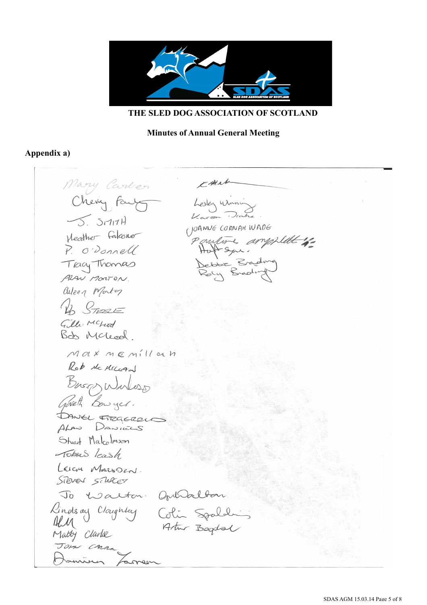

### **Minutes of Annual General Meeting**

### **Appendix a)**

Mary Carter CALLA Chevy Fair Lesley Winni  $\sqrt{2.}$   $51777$ (JOANNE CORNAH WADE Heather Falconer Paulure ampfillet is P. O'Donnell Hatt Syre. Tracy Thomas Debbie Bradwe<br>Roly Brading ALAN MONTON auleen Marty Up STERIE Gilli Mckod Bob Mcleod Maxmenillan Rob Mckeegal Busa Wirless DANKL FREGERELE ALAN DANIELS Stuart Malcolmson Tobras leash LEIGH MARSDEN. Sileven silver To Walton Opurallon Rindson Cloughley Colin Spalalin Matty Clarke Jom Caran famer amin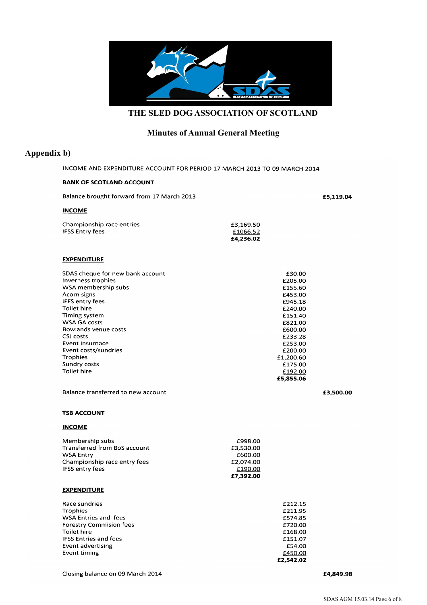

# **Minutes of Annual General Meeting**

### **Appendix b)**

INCOME AND EXPENDITURE ACCOUNT FOR PERIOD 17 MARCH 2013 TO 09 MARCH 2014

#### **BANK OF SCOTLAND ACCOUNT**

| Balance brought forward from 17 March 2013                                                                                                                                                                                                                                                                                                  |                                                                      |                                                                                                                                                                                 | £5,119.04 |
|---------------------------------------------------------------------------------------------------------------------------------------------------------------------------------------------------------------------------------------------------------------------------------------------------------------------------------------------|----------------------------------------------------------------------|---------------------------------------------------------------------------------------------------------------------------------------------------------------------------------|-----------|
| <b>INCOME</b>                                                                                                                                                                                                                                                                                                                               |                                                                      |                                                                                                                                                                                 |           |
| Championship race entries<br><b>IFSS Entry fees</b>                                                                                                                                                                                                                                                                                         | £3,169.50<br>£1066.52<br>£4,236.02                                   |                                                                                                                                                                                 |           |
| <b>EXPENDITURE</b>                                                                                                                                                                                                                                                                                                                          |                                                                      |                                                                                                                                                                                 |           |
| SDAS cheque for new bank account<br>Inverness trophies<br>WSA membership subs<br>Acorn signs<br><b>IFFS entry fees</b><br><b>Toilet hire</b><br>Timing system<br><b>WSA GA costs</b><br><b>Bowlands venue costs</b><br>CSJ costs<br><b>Event Insurnace</b><br>Event costs/sundries<br><b>Trophies</b><br>Sundry costs<br><b>Toilet hire</b> |                                                                      | £30.00<br>£205.00<br>£155.60<br>£453.00<br>£945.18<br>£240.00<br>£151.40<br>£821.00<br>£600.00<br>£233.28<br>£253.00<br>£200.00<br>£1,200.60<br>£175.00<br>£192.00<br>£5,855.06 |           |
| Balance transferred to new account                                                                                                                                                                                                                                                                                                          |                                                                      |                                                                                                                                                                                 | £3,500.00 |
| <b>TSB ACCOUNT</b>                                                                                                                                                                                                                                                                                                                          |                                                                      |                                                                                                                                                                                 |           |
| <b>INCOME</b>                                                                                                                                                                                                                                                                                                                               |                                                                      |                                                                                                                                                                                 |           |
| Membership subs<br><b>Transferred from BoS account</b><br><b>WSA Entry</b><br>Championship race entry fees<br><b>IFSS entry fees</b>                                                                                                                                                                                                        | £998.00<br>£3,530.00<br>£600.00<br>£2,074.00<br>£190.00<br>£7,392.00 |                                                                                                                                                                                 |           |
| <b>EXPENDITURE</b>                                                                                                                                                                                                                                                                                                                          |                                                                      |                                                                                                                                                                                 |           |
| Race sundries<br><b>Trophies</b><br>WSA Entries and fees<br><b>Forestry Commision fees</b><br><b>Toilet hire</b><br><b>IFSS Entries and fees</b><br><b>Event advertising</b><br>Event timing                                                                                                                                                |                                                                      | £212.15<br>£211.95<br>£574.85<br>£720.00<br>£168.00<br>£151.07<br>£54.00<br>£450.00<br>£2,542.02                                                                                |           |

£4,849.98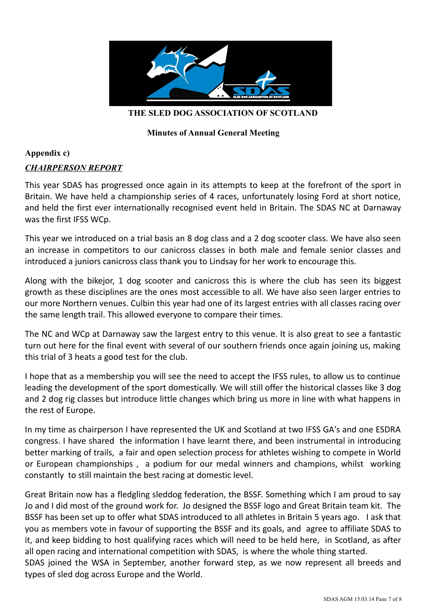

## **Minutes of Annual General Meeting**

# **Appendix c)**

## *CHAIRPERSON REPORT*

This year SDAS has progressed once again in its attempts to keep at the forefront of the sport in Britain. We have held a championship series of 4 races, unfortunately losing Ford at short notice, and held the first ever internationally recognised event held in Britain. The SDAS NC at Darnaway was the first IFSS WCp.

This year we introduced on a trial basis an 8 dog class and a 2 dog scooter class. We have also seen an increase in competitors to our canicross classes in both male and female senior classes and introduced a juniors canicross class thank you to Lindsay for her work to encourage this.

Along with the bikejor, 1 dog scooter and canicross this is where the club has seen its biggest growth as these disciplines are the ones most accessible to all. We have also seen larger entries to our more Northern venues. Culbin this year had one of its largest entries with all classes racing over the same length trail. This allowed everyone to compare their times.

The NC and WCp at Darnaway saw the largest entry to this venue. It is also great to see a fantastic turn out here for the final event with several of our southern friends once again joining us, making this trial of 3 heats a good test for the club.

I hope that as a membership you will see the need to accept the IFSS rules, to allow us to continue leading the development of the sport domestically. We will still offer the historical classes like 3 dog and 2 dog rig classes but introduce little changes which bring us more in line with what happens in the rest of Europe.

In my time as chairperson I have represented the UK and Scotland at two IFSS GA's and one ESDRA congress. I have shared the information I have learnt there, and been instrumental in introducing better marking of trails, a fair and open selection process for athletes wishing to compete in World or European championships , a podium for our medal winners and champions, whilst working constantly to still maintain the best racing at domestic level.

Great Britain now has a fledgling sleddog federation, the BSSF. Something which I am proud to say Jo and I did most of the ground work for. Jo designed the BSSF logo and Great Britain team kit. The BSSF has been set up to offer what SDAS introduced to all athletes in Britain 5 years ago. I ask that you as members vote in favour of supporting the BSSF and its goals, and agree to affiliate SDAS to it, and keep bidding to host qualifying races which will need to be held here, in Scotland, as after all open racing and international competition with SDAS, is where the whole thing started.

SDAS joined the WSA in September, another forward step, as we now represent all breeds and types of sled dog across Europe and the World.